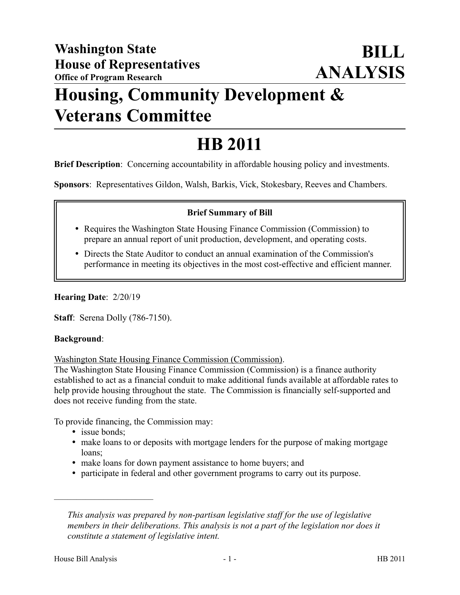# **Housing, Community Development & Veterans Committee**

# **HB 2011**

**Brief Description**: Concerning accountability in affordable housing policy and investments.

**Sponsors**: Representatives Gildon, Walsh, Barkis, Vick, Stokesbary, Reeves and Chambers.

## **Brief Summary of Bill**

- Requires the Washington State Housing Finance Commission (Commission) to prepare an annual report of unit production, development, and operating costs.
- Directs the State Auditor to conduct an annual examination of the Commission's performance in meeting its objectives in the most cost-effective and efficient manner.

**Hearing Date**: 2/20/19

**Staff**: Serena Dolly (786-7150).

#### **Background**:

Washington State Housing Finance Commission (Commission).

The Washington State Housing Finance Commission (Commission) is a finance authority established to act as a financial conduit to make additional funds available at affordable rates to help provide housing throughout the state. The Commission is financially self-supported and does not receive funding from the state.

To provide financing, the Commission may:

• issue bonds;

––––––––––––––––––––––

- make loans to or deposits with mortgage lenders for the purpose of making mortgage loans;
- make loans for down payment assistance to home buyers; and
- participate in federal and other government programs to carry out its purpose.

*This analysis was prepared by non-partisan legislative staff for the use of legislative members in their deliberations. This analysis is not a part of the legislation nor does it constitute a statement of legislative intent.*